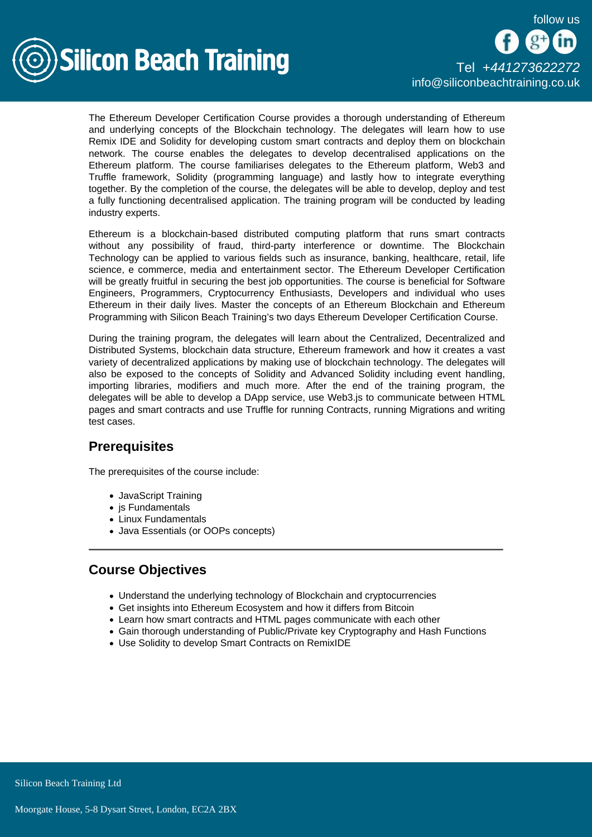

The Ethereum Developer Certification Course provides a thorough understanding of Ethereum and underlying concepts of the Blockchain technology. The delegates will learn how to use Remix IDE and Solidity for developing custom smart contracts and deploy them on blockchain network. The course enables the delegates to develop decentralised applications on the Ethereum platform. The course familiarises delegates to the Ethereum platform, Web3 and Truffle framework, Solidity (programming language) and lastly how to integrate everything together. By the completion of the course, the delegates will be able to develop, deploy and test a fully functioning decentralised application. The training program will be conducted by leading industry experts.

Ethereum is a blockchain-based distributed computing platform that runs smart contracts without any possibility of fraud, third-party interference or downtime. The Blockchain Technology can be applied to various fields such as insurance, banking, healthcare, retail, life science, e commerce, media and entertainment sector. The Ethereum Developer Certification will be greatly fruitful in securing the best job opportunities. The course is beneficial for Software Engineers, Programmers, Cryptocurrency Enthusiasts, Developers and individual who uses Ethereum in their daily lives. Master the concepts of an Ethereum Blockchain and Ethereum Programming with Silicon Beach Training's two days Ethereum Developer Certification Course.

During the training program, the delegates will learn about the Centralized, Decentralized and Distributed Systems, blockchain data structure, Ethereum framework and how it creates a vast variety of decentralized applications by making use of blockchain technology. The delegates will also be exposed to the concepts of Solidity and Advanced Solidity including event handling, importing libraries, modifiers and much more. After the end of the training program, the delegates will be able to develop a DApp service, use Web3.js to communicate between HTML pages and smart contracts and use Truffle for running Contracts, running Migrations and writing test cases.

# **Prerequisites**

The prerequisites of the course include:

- JavaScript Training
- $\bullet$  is Fundamentals
- Linux Fundamentals
- Java Essentials (or OOPs concepts)

# Course Objectives

- Understand the underlying technology of Blockchain and cryptocurrencies
- Get insights into Ethereum Ecosystem and how it differs from Bitcoin
- Learn how smart contracts and HTML pages communicate with each other
- Gain thorough understanding of Public/Private key Cryptography and Hash Functions
- Use Solidity to develop Smart Contracts on RemixIDE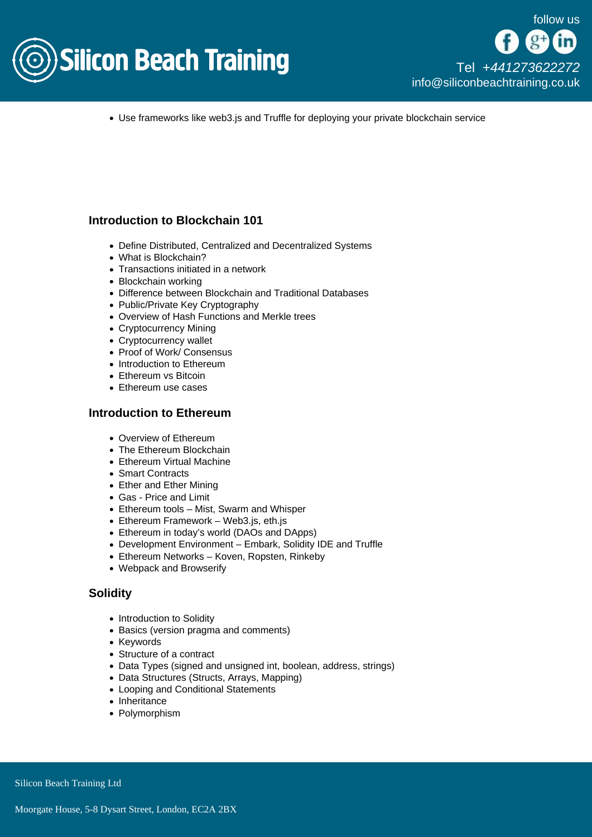

Use frameworks like web3.js and Truffle for deploying your private blockchain service

### Introduction to Blockchain 101

- Define Distributed, Centralized and Decentralized Systems
- What is Blockchain?
- Transactions initiated in a network
- Blockchain working
- Difference between Blockchain and Traditional Databases
- Public/Private Key Cryptography
- Overview of Hash Functions and Merkle trees
- Cryptocurrency Mining
- Cryptocurrency wallet
- Proof of Work/ Consensus
- Introduction to Ethereum
- Ethereum vs Bitcoin
- Ethereum use cases

### Introduction to Ethereum

- Overview of Ethereum
- The Ethereum Blockchain
- Ethereum Virtual Machine
- Smart Contracts
- Ether and Ether Mining
- Gas Price and Limit
- Ethereum tools Mist, Swarm and Whisper
- Ethereum Framework Web3.js, eth.js
- Ethereum in today's world (DAOs and DApps)
- Development Environment Embark, Solidity IDE and Truffle
- Ethereum Networks Koven, Ropsten, Rinkeby
- Webpack and Browserify

#### **Solidity**

- Introduction to Solidity
- Basics (version pragma and comments)
- Keywords
- Structure of a contract
- Data Types (signed and unsigned int, boolean, address, strings)
- Data Structures (Structs, Arrays, Mapping)
- Looping and Conditional Statements
- Inheritance
- Polymorphism

Silicon Beach Training Ltd